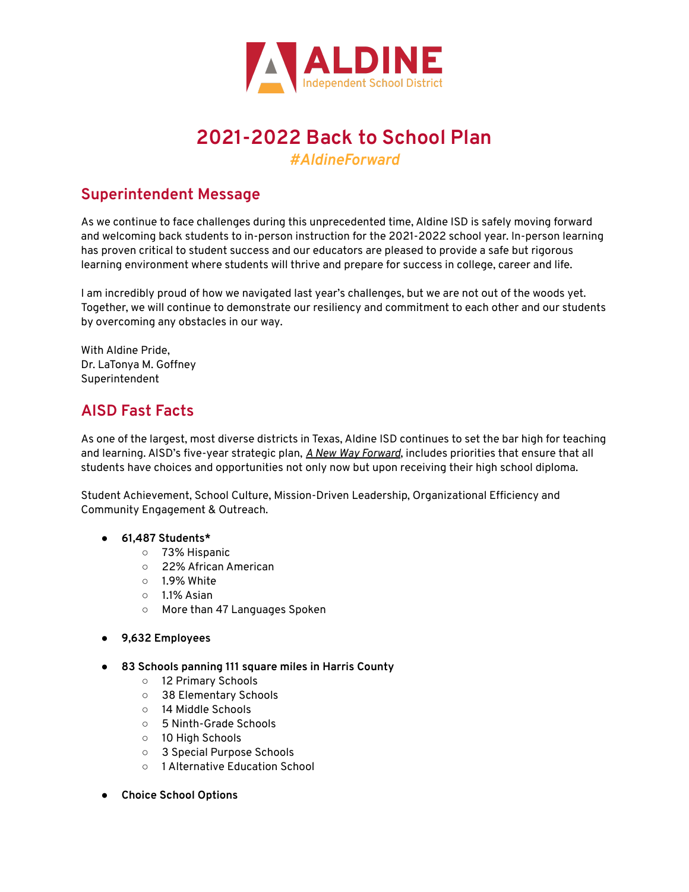

# **2021-2022 Back to School Plan**

*#AldineForward*

# **Superintendent Message**

As we continue to face challenges during this unprecedented time, Aldine ISD is safely moving forward and welcoming back students to in-person instruction for the 2021-2022 school year. In-person learning has proven critical to student success and our educators are pleased to provide a safe but rigorous learning environment where students will thrive and prepare for success in college, career and life.

I am incredibly proud of how we navigated last year's challenges, but we are not out of the woods yet. Together, we will continue to demonstrate our resiliency and commitment to each other and our students by overcoming any obstacles in our way.

With Aldine Pride, Dr. LaTonya M. Goffney Superintendent

# **AISD Fast Facts**

As one of the largest, most diverse districts in Texas, Aldine ISD continues to set the bar high for teaching and learning. AISD's five-year strategic plan, *A New Way [Forward](https://strategicplan.aldineisd.org/)*, includes priorities that ensure that all students have choices and opportunities not only now but upon receiving their high school diploma.

Student Achievement, School Culture, Mission-Driven Leadership, Organizational Efficiency and Community Engagement & Outreach.

- **● 61,487 Students\***
	- 73% Hispanic
	- 22% African American
	- $\circ$  1.9% White
	- 1.1% Asian
	- More than 47 Languages Spoken
- **● 9,632 Employees**
- **● 83 Schools panning 111 square miles in Harris County**
	- 12 Primary Schools
	- 38 Elementary Schools
	- 14 Middle Schools
	- 5 Ninth-Grade Schools
	- 10 High Schools
	- 3 Special Purpose Schools
	- 1 Alternative Education School
- **● Choice School Options**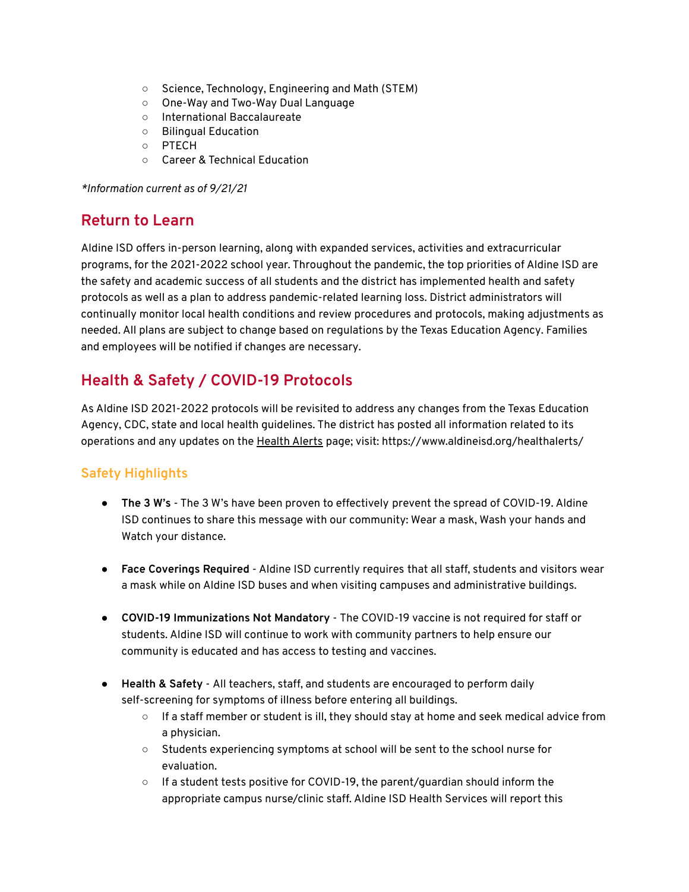- Science, Technology, Engineering and Math (STEM)
- One-Way and Two-Way Dual Language
- International Baccalaureate
- Bilingual Education
- PTECH
- Career & Technical Education

*\*Information current as of 9/21/21*

### **Return to Learn**

Aldine ISD offers in-person learning, along with expanded services, activities and extracurricular programs, for the 2021-2022 school year. Throughout the pandemic, the top priorities of Aldine ISD are the safety and academic success of all students and the district has implemented health and safety protocols as well as a plan to address pandemic-related learning loss. District administrators will continually monitor local health conditions and review procedures and protocols, making adjustments as needed. All plans are subject to change based on regulations by the Texas Education Agency. Families and employees will be notified if changes are necessary.

# **Health & Safety / COVID-19 Protocols**

As Aldine ISD 2021-2022 protocols will be revisited to address any changes from the Texas Education Agency, CDC, state and local health guidelines. The district has posted all information related to its operations and any updates on the [Health](https://www.aldineisd.org/healthalerts/) Alerts page; visit: https://www.aldineisd.org/healthalerts/

### **Safety Highlights**

- **The 3 W's** The 3 W's have been proven to effectively prevent the spread of COVID-19. Aldine ISD continues to share this message with our community: Wear a mask, Wash your hands and Watch your distance.
- **Face Coverings Required** Aldine ISD currently requires that all staff, students and visitors wear a mask while on Aldine ISD buses and when visiting campuses and administrative buildings.
- **COVID-19 Immunizations Not Mandatory** The COVID-19 vaccine is not required for staff or students. Aldine ISD will continue to work with community partners to help ensure our community is educated and has access to testing and vaccines.
- **Health & Safety** All teachers, staff, and students are encouraged to perform daily self-screening for symptoms of illness before entering all buildings.
	- $\circ$  If a staff member or student is ill, they should stay at home and seek medical advice from a physician.
	- Students experiencing symptoms at school will be sent to the school nurse for evaluation.
	- If a student tests positive for COVID-19, the parent/guardian should inform the appropriate campus nurse/clinic staff. Aldine ISD Health Services will report this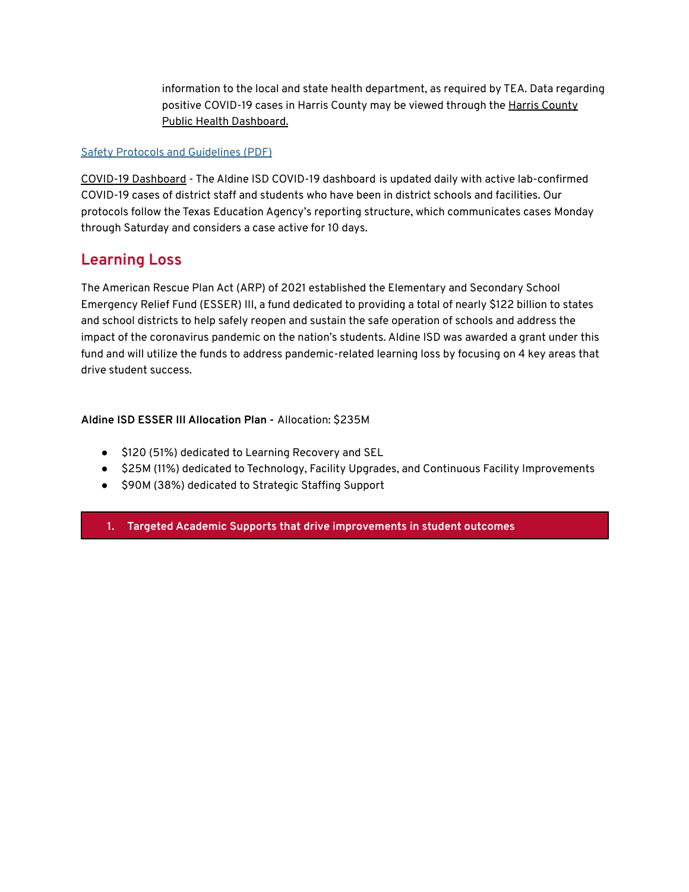information to the local and state health department, as required by TEA. Data regarding positive COVID-19 cases in Harris [County](https://covid-harriscounty.hub.arcgis.com/pages/cumulative-data) may be viewed through the Harris County Public Health [Dashboard.](https://covid-harriscounty.hub.arcgis.com/pages/cumulative-data)

#### Safety Protocols and [Guidelines](https://www.aldineisd.org/wp-content/uploads/2021/07/Safety-Protocols-08-13-2021.pdf) (PDF)

COVID-19 [Dashboard](https://www.aldineisd.org/covid-19-dashboard/) - The Aldine ISD COVID-19 dashboard is updated daily with active lab-confirmed COVID-19 cases of district staff and students who have been in district schools and facilities. Our protocols follow the Texas Education Agency's reporting structure, which communicates cases Monday through Saturday and considers a case active for 10 days.

## **Learning Loss**

The American Rescue Plan Act (ARP) of 2021 established the Elementary and Secondary School Emergency Relief Fund (ESSER) III, a fund dedicated to providing a total of nearly \$122 billion to states and school districts to help safely reopen and sustain the safe operation of schools and address the impact of the coronavirus pandemic on the nation's students. Aldine ISD was awarded a grant under this fund and will utilize the funds to address pandemic-related learning loss by focusing on 4 key areas that drive student success.

### **Aldine ISD ESSER III Allocation Plan -** Allocation: \$235M

- \$120 (51%) dedicated to Learning Recovery and SEL
- \$25M (11%) dedicated to Technology, Facility Upgrades, and Continuous Facility Improvements
- \$90M (38%) dedicated to Strategic Staffing Support

**1. Targeted Academic Supports that drive improvements in student outcomes**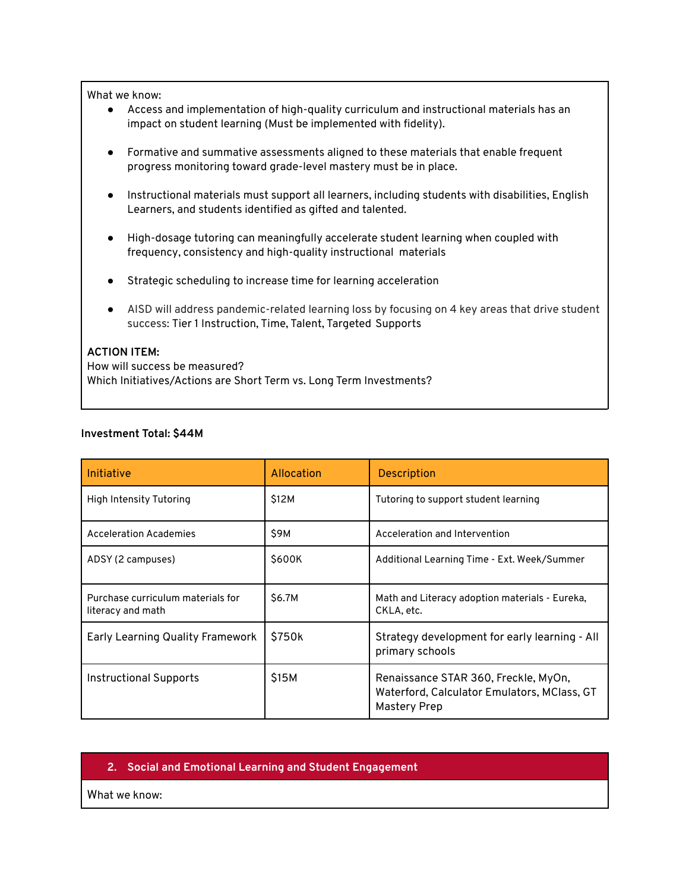#### What we know:

- Access and implementation of high-quality curriculum and instructional materials has an impact on student learning (Must be implemented with fidelity).
- Formative and summative assessments aligned to these materials that enable frequent progress monitoring toward grade-level mastery must be in place.
- Instructional materials must support all learners, including students with disabilities, English Learners, and students identified as gifted and talented.
- High-dosage tutoring can meaningfully accelerate student learning when coupled with frequency, consistency and high-quality instructional materials
- Strategic scheduling to increase time for learning acceleration
- AISD will address pandemic-related learning loss by focusing on 4 key areas that drive student success: Tier 1 Instruction, Time, Talent, Targeted Supports

#### **ACTION ITEM:**

How will success be measured? Which Initiatives/Actions are Short Term vs. Long Term Investments?

#### **Investment Total: \$44M**

| Initiative                                             | Allocation | <b>Description</b>                                                                                         |
|--------------------------------------------------------|------------|------------------------------------------------------------------------------------------------------------|
| High Intensity Tutoring                                | \$12M      | Tutoring to support student learning                                                                       |
| <b>Acceleration Academies</b>                          | \$9M       | Acceleration and Intervention                                                                              |
| ADSY (2 campuses)                                      | \$600K     | Additional Learning Time - Ext. Week/Summer                                                                |
| Purchase curriculum materials for<br>literacy and math | \$6.7M     | Math and Literacy adoption materials - Eureka,<br>CKLA, etc.                                               |
| <b>Early Learning Quality Framework</b>                | \$750k     | Strategy development for early learning - All<br>primary schools                                           |
| <b>Instructional Supports</b>                          | \$15M      | Renaissance STAR 360, Freckle, MyOn,<br>Waterford, Calculator Emulators, MClass, GT<br><b>Mastery Prep</b> |

#### **2. Social and Emotional Learning and Student Engagement**

What we know: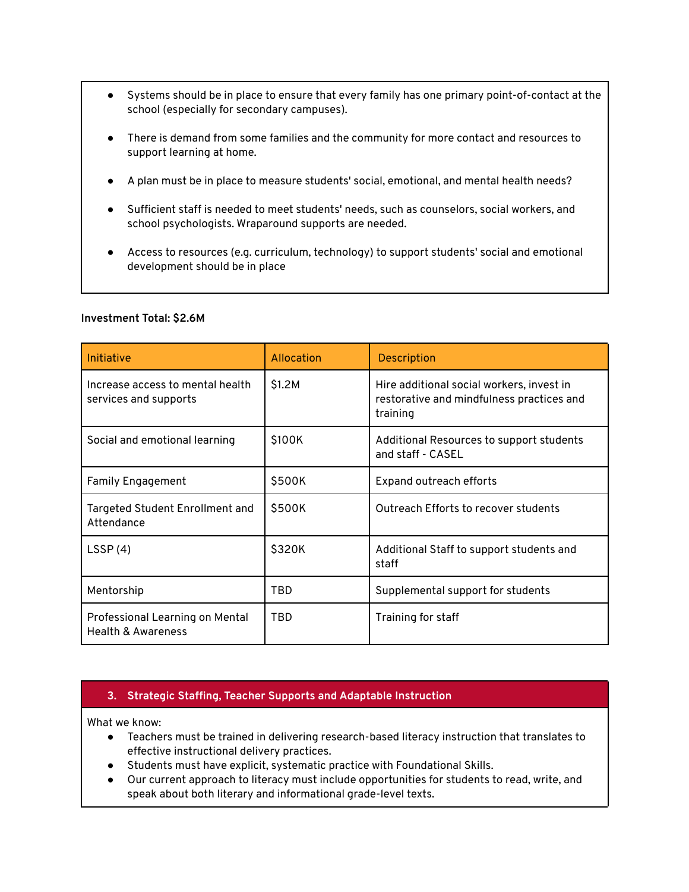- Systems should be in place to ensure that every family has one primary point-of-contact at the school (especially for secondary campuses).
- There is demand from some families and the community for more contact and resources to support learning at home.
- A plan must be in place to measure students' social, emotional, and mental health needs?
- Sufficient staff is needed to meet students' needs, such as counselors, social workers, and school psychologists. Wraparound supports are needed.
- Access to resources (e.g. curriculum, technology) to support students' social and emotional development should be in place

| Initiative                                                       | Allocation | <b>Description</b>                                                                                 |
|------------------------------------------------------------------|------------|----------------------------------------------------------------------------------------------------|
| Increase access to mental health<br>services and supports        | \$1.2M     | Hire additional social workers, invest in<br>restorative and mindfulness practices and<br>training |
| Social and emotional learning                                    | \$100K     | Additional Resources to support students<br>and staff - CASEL                                      |
| <b>Family Engagement</b>                                         | \$500K     | Expand outreach efforts                                                                            |
| Targeted Student Enrollment and<br>Attendance                    | \$500K     | Outreach Efforts to recover students                                                               |
| LSSP(4)                                                          | \$320K     | Additional Staff to support students and<br>staff                                                  |
| Mentorship                                                       | TBD        | Supplemental support for students                                                                  |
| Professional Learning on Mental<br><b>Health &amp; Awareness</b> | TBD        | Training for staff                                                                                 |

#### **Investment Total: \$2.6M**

### **3. Strategic Staffing, Teacher Supports and Adaptable Instruction**

What we know:

- Teachers must be trained in delivering research-based literacy instruction that translates to effective instructional delivery practices.
- Students must have explicit, systematic practice with Foundational Skills.
- Our current approach to literacy must include opportunities for students to read, write, and speak about both literary and informational grade-level texts.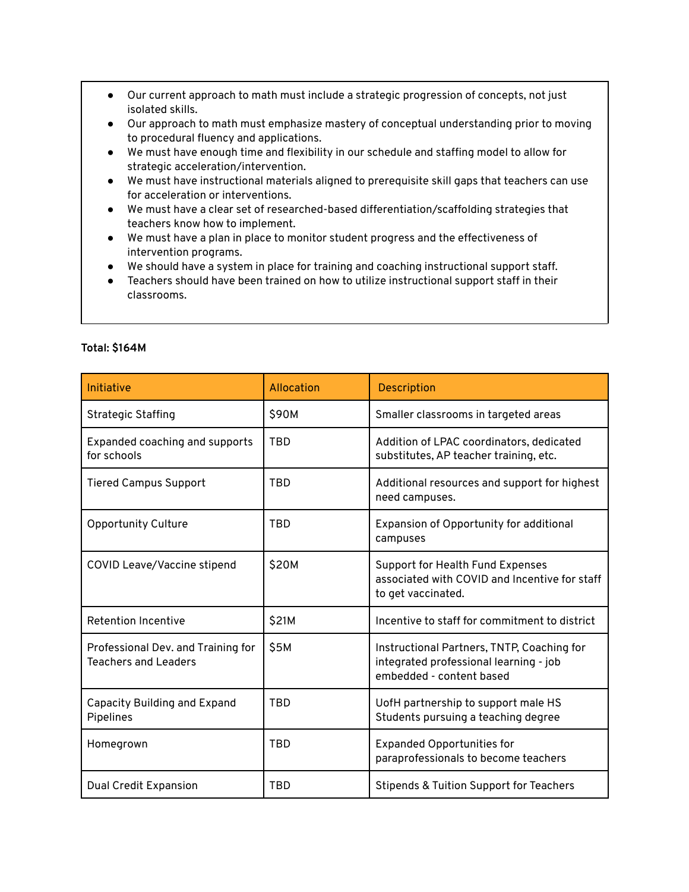- Our current approach to math must include a strategic progression of concepts, not just isolated skills.
- Our approach to math must emphasize mastery of conceptual understanding prior to moving to procedural fluency and applications.
- We must have enough time and flexibility in our schedule and staffing model to allow for strategic acceleration/intervention.
- We must have instructional materials aligned to prerequisite skill gaps that teachers can use for acceleration or interventions.
- We must have a clear set of researched-based differentiation/scaffolding strategies that teachers know how to implement.
- We must have a plan in place to monitor student progress and the effectiveness of intervention programs.
- We should have a system in place for training and coaching instructional support staff.
- Teachers should have been trained on how to utilize instructional support staff in their classrooms.

| Initiative                                                        | Allocation | <b>Description</b>                                                                                               |
|-------------------------------------------------------------------|------------|------------------------------------------------------------------------------------------------------------------|
| <b>Strategic Staffing</b>                                         | \$90M      | Smaller classrooms in targeted areas                                                                             |
| Expanded coaching and supports<br>for schools                     | <b>TBD</b> | Addition of LPAC coordinators, dedicated<br>substitutes, AP teacher training, etc.                               |
| <b>Tiered Campus Support</b>                                      | <b>TBD</b> | Additional resources and support for highest<br>need campuses.                                                   |
| Opportunity Culture                                               | <b>TBD</b> | Expansion of Opportunity for additional<br>campuses                                                              |
| <b>COVID Leave/Vaccine stipend</b>                                | \$20M      | <b>Support for Health Fund Expenses</b><br>associated with COVID and Incentive for staff<br>to get vaccinated.   |
| <b>Retention Incentive</b>                                        | \$21M      | Incentive to staff for commitment to district                                                                    |
| Professional Dev. and Training for<br><b>Teachers and Leaders</b> | \$5M       | Instructional Partners, TNTP, Coaching for<br>integrated professional learning - job<br>embedded - content based |
| <b>Capacity Building and Expand</b><br>Pipelines                  | <b>TBD</b> | UofH partnership to support male HS<br>Students pursuing a teaching degree                                       |
| Homegrown                                                         | <b>TBD</b> | <b>Expanded Opportunities for</b><br>paraprofessionals to become teachers                                        |
| <b>Dual Credit Expansion</b>                                      | <b>TBD</b> | <b>Stipends &amp; Tuition Support for Teachers</b>                                                               |

#### **Total: \$164M**